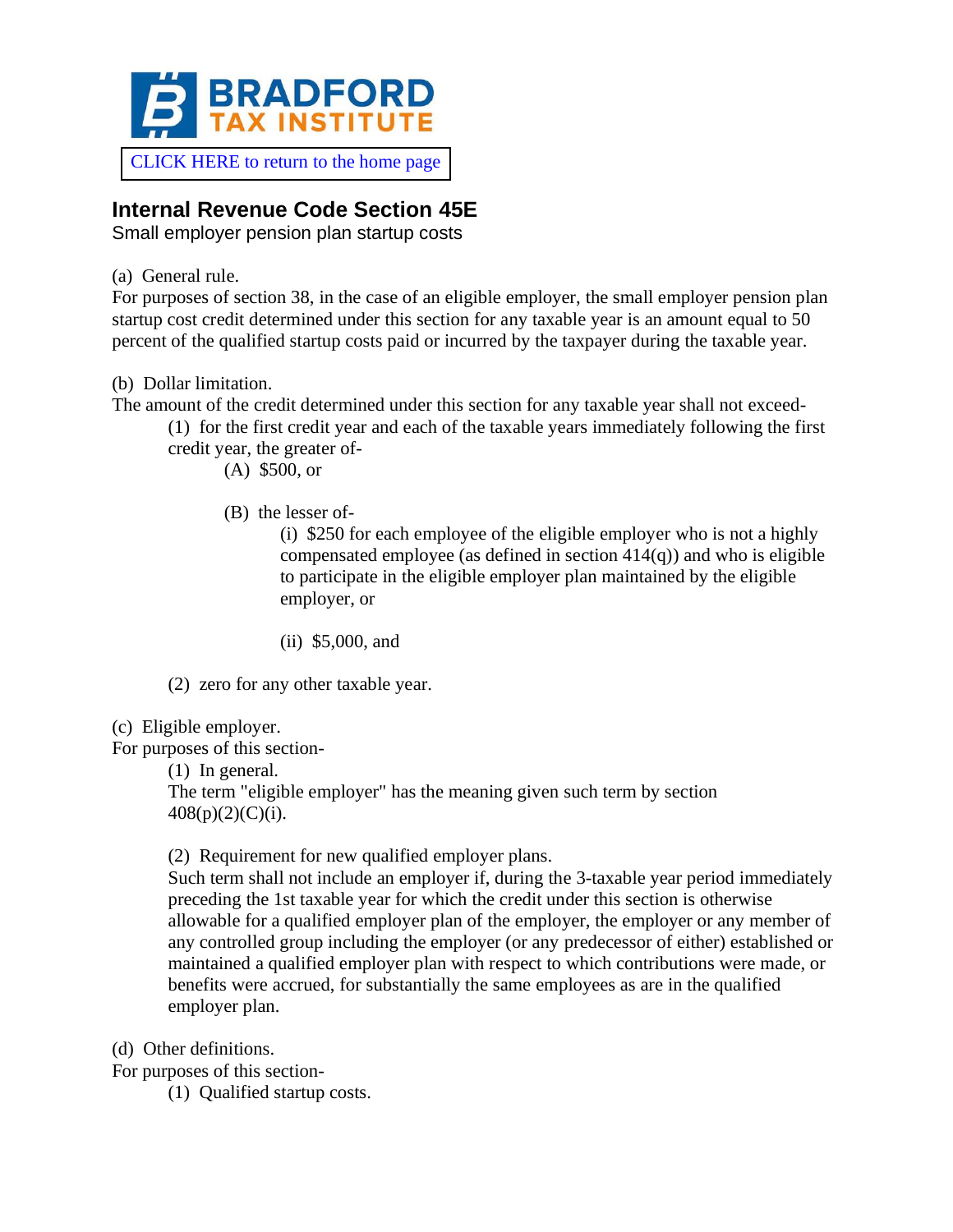

## **Internal Revenue Code Section 45E**

Small employer pension plan startup costs

(a) General rule.

For purposes of section 38, in the case of an eligible employer, the small employer pension plan startup cost credit determined under this section for any taxable year is an amount equal to 50 percent of the qualified startup costs paid or incurred by the taxpayer during the taxable year.

(b) Dollar limitation.

The amount of the credit determined under this section for any taxable year shall not exceed-

(1) for the first credit year and each of the taxable years immediately following the first credit year, the greater of-

(A) \$500, or

(B) the lesser of-

(i) \$250 for each employee of the eligible employer who is not a highly compensated employee (as defined in section  $414(q)$ ) and who is eligible to participate in the eligible employer plan maintained by the eligible employer, or

(ii) \$5,000, and

(2) zero for any other taxable year.

(c) Eligible employer.

For purposes of this section-

(1) In general. The term "eligible employer" has the meaning given such term by section  $408(p)(2)(C)(i)$ .

(2) Requirement for new qualified employer plans.

Such term shall not include an employer if, during the 3-taxable year period immediately preceding the 1st taxable year for which the credit under this section is otherwise allowable for a qualified employer plan of the employer, the employer or any member of any controlled group including the employer (or any predecessor of either) established or maintained a qualified employer plan with respect to which contributions were made, or benefits were accrued, for substantially the same employees as are in the qualified employer plan.

(d) Other definitions.

For purposes of this section-

(1) Qualified startup costs.